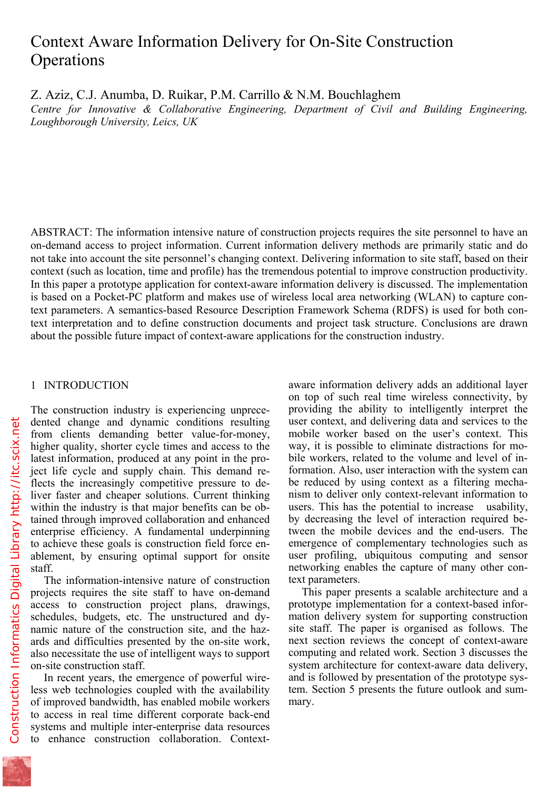# Context Aware Information Delivery for On-Site Construction **Operations**

Z. Aziz, C.J. Anumba, D. Ruikar, P.M. Carrillo & N.M. Bouchlaghem

*Centre for Innovative & Collaborative Engineering, Department of Civil and Building Engineering, Loughborough University, Leics, UK* 

ABSTRACT: The information intensive nature of construction projects requires the site personnel to have an on-demand access to project information. Current information delivery methods are primarily static and do not take into account the site personnel's changing context. Delivering information to site staff, based on their context (such as location, time and profile) has the tremendous potential to improve construction productivity. In this paper a prototype application for context-aware information delivery is discussed. The implementation is based on a Pocket-PC platform and makes use of wireless local area networking (WLAN) to capture context parameters. A semantics-based Resource Description Framework Schema (RDFS) is used for both context interpretation and to define construction documents and project task structure. Conclusions are drawn about the possible future impact of context-aware applications for the construction industry.

## 1 INTRODUCTION

The construction industry is experiencing unprecedented change and dynamic conditions resulting from clients demanding better value-for-money, higher quality, shorter cycle times and access to the latest information, produced at any point in the project life cycle and supply chain. This demand reflects the increasingly competitive pressure to deliver faster and cheaper solutions. Current thinking within the industry is that major benefits can be obtained through improved collaboration and enhanced enterprise efficiency. A fundamental underpinning to achieve these goals is construction field force enablement, by ensuring optimal support for onsite staff.

The information-intensive nature of construction projects requires the site staff to have on-demand access to construction project plans, drawings, schedules, budgets, etc. The unstructured and dynamic nature of the construction site, and the hazards and difficulties presented by the on-site work, also necessitate the use of intelligent ways to support on-site construction staff.

In recent years, the emergence of powerful wireless web technologies coupled with the availability of improved bandwidth, has enabled mobile workers to access in real time different corporate back-end systems and multiple inter-enterprise data resources to enhance construction collaboration. Contextaware information delivery adds an additional layer on top of such real time wireless connectivity, by providing the ability to intelligently interpret the user context, and delivering data and services to the mobile worker based on the user's context. This way, it is possible to eliminate distractions for mobile workers, related to the volume and level of information. Also, user interaction with the system can be reduced by using context as a filtering mechanism to deliver only context-relevant information to users. This has the potential to increase usability, by decreasing the level of interaction required between the mobile devices and the end-users. The emergence of complementary technologies such as user profiling, ubiquitous computing and sensor networking enables the capture of many other context parameters.

This paper presents a scalable architecture and a prototype implementation for a context-based information delivery system for supporting construction site staff. The paper is organised as follows. The next section reviews the concept of context-aware computing and related work. Section 3 discusses the system architecture for context-aware data delivery, and is followed by presentation of the prototype system. Section 5 presents the future outlook and summary.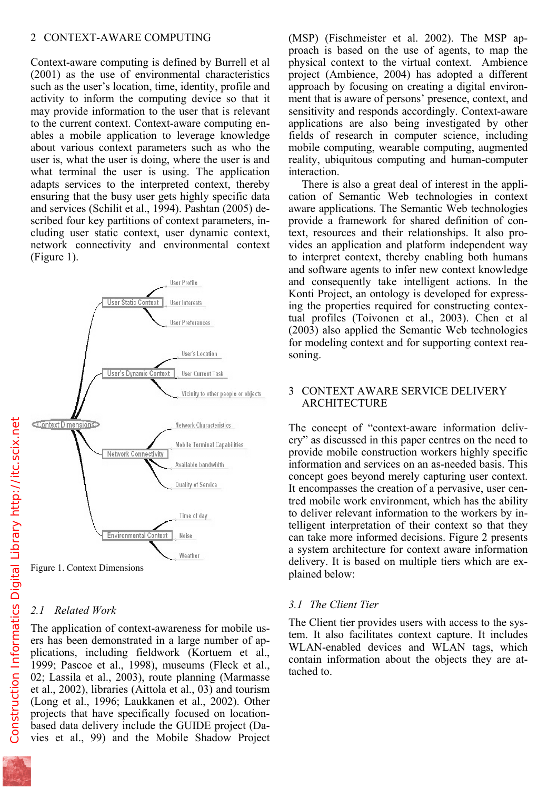Context-aware computing is defined by Burrell et al (2001) as the use of environmental characteristics such as the user's location, time, identity, profile and activity to inform the computing device so that it may provide information to the user that is relevant to the current context. Context-aware computing enables a mobile application to leverage knowledge about various context parameters such as who the user is, what the user is doing, where the user is and what terminal the user is using. The application adapts services to the interpreted context, thereby ensuring that the busy user gets highly specific data and services (Schilit et al., 1994). Pashtan (2005) described four key partitions of context parameters, including user static context, user dynamic context, network connectivity and environmental context (Figure 1).



Figure 1. Context Dimensions

# *2.1 Related Work*

The application of context-awareness for mobile users has been demonstrated in a large number of applications, including fieldwork (Kortuem et al., 1999; Pascoe et al., 1998), museums (Fleck et al., 02; Lassila et al., 2003), route planning (Marmasse et al., 2002), libraries (Aittola et al., 03) and tourism (Long et al., 1996; Laukkanen et al., 2002). Other projects that have specifically focused on locationbased data delivery include the GUIDE project (Davies et al., 99) and the Mobile Shadow Project

proach is based on the use of agents, to map the physical context to the virtual context. Ambience project (Ambience, 2004) has adopted a different approach by focusing on creating a digital environment that is aware of persons' presence, context, and sensitivity and responds accordingly. Context-aware applications are also being investigated by other fields of research in computer science, including mobile computing, wearable computing, augmented reality, ubiquitous computing and human-computer interaction.

There is also a great deal of interest in the application of Semantic Web technologies in context aware applications. The Semantic Web technologies provide a framework for shared definition of context, resources and their relationships. It also provides an application and platform independent way to interpret context, thereby enabling both humans and software agents to infer new context knowledge and consequently take intelligent actions. In the Konti Project, an ontology is developed for expressing the properties required for constructing contextual profiles (Toivonen et al., 2003). Chen et al (2003) also applied the Semantic Web technologies for modeling context and for supporting context reasoning.

## 3 CONTEXT AWARE SERVICE DELIVERY ARCHITECTURE

The concept of "context-aware information delivery" as discussed in this paper centres on the need to provide mobile construction workers highly specific information and services on an as-needed basis. This concept goes beyond merely capturing user context. It encompasses the creation of a pervasive, user centred mobile work environment, which has the ability to deliver relevant information to the workers by intelligent interpretation of their context so that they can take more informed decisions. Figure 2 presents a system architecture for context aware information delivery. It is based on multiple tiers which are explained below:

# *3.1 The Client Tier*

The Client tier provides users with access to the system. It also facilitates context capture. It includes WLAN-enabled devices and WLAN tags, which contain information about the objects they are attached to.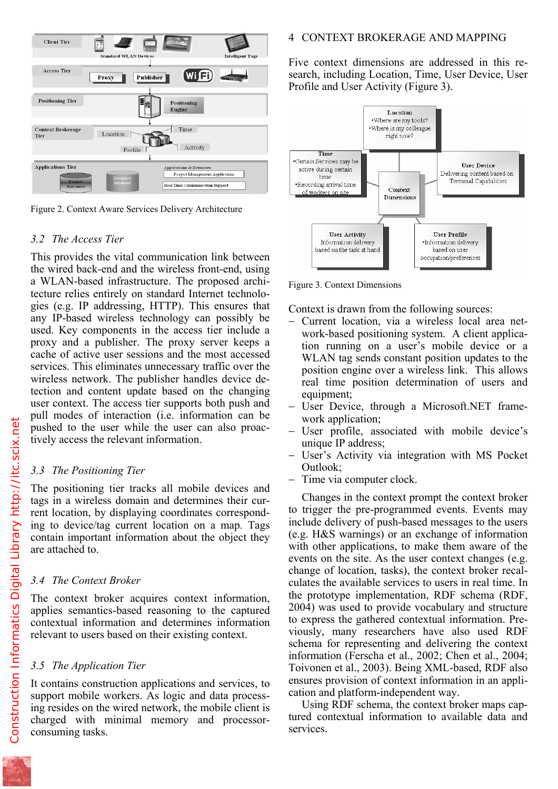

Figure 2. Context Aware Services Delivery Architecture

## *3.2 The Access Tier*

This provides the vital communication link between the wired back-end and the wireless front-end, using a WLAN-based infrastructure. The proposed architecture relies entirely on standard Internet technologies (e.g. IP addressing, HTTP). This ensures that any IP-based wireless technology can possibly be used. Key components in the access tier include a proxy and a publisher. The proxy server keeps a cache of active user sessions and the most accessed services. This eliminates unnecessary traffic over the wireless network. The publisher handles device detection and content update based on the changing user context. The access tier supports both push and pull modes of interaction (i.e. information can be pushed to the user while the user can also proactively access the relevant information.

## *3.3 The Positioning Tier*

The positioning tier tracks all mobile devices and tags in a wireless domain and determines their current location, by displaying coordinates corresponding to device/tag current location on a map. Tags contain important information about the object they are attached to.

# *3.4 The Context Broker*

The context broker acquires context information, applies semantics-based reasoning to the captured contextual information and determines information relevant to users based on their existing context.

# *3.5 The Application Tier*

It contains construction applications and services, to support mobile workers. As logic and data processing resides on the wired network, the mobile client is charged with minimal memory and processorconsuming tasks.

Five context dimensions are addressed in this research, including Location, Time, User Device, User Profile and User Activity (Figure 3).



Figure 3. Context Dimensions

Context is drawn from the following sources:

- − Current location, via a wireless local area network-based positioning system. A client application running on a user's mobile device or a WLAN tag sends constant position updates to the position engine over a wireless link. This allows real time position determination of users and equipment;
- − User Device, through a Microsoft.NET framework application;
- − User profile, associated with mobile device's unique IP address;
- − User's Activity via integration with MS Pocket Outlook;
- Time via computer clock.

Changes in the context prompt the context broker to trigger the pre-programmed events. Events may include delivery of push-based messages to the users (e.g. H&S warnings) or an exchange of information with other applications, to make them aware of the events on the site. As the user context changes (e.g. change of location, tasks), the context broker recalculates the available services to users in real time. In the prototype implementation, RDF schema (RDF, 2004) was used to provide vocabulary and structure to express the gathered contextual information. Previously, many researchers have also used RDF schema for representing and delivering the context information (Ferscha et al., 2002; Chen et al., 2004; Toivonen et al., 2003). Being XML-based, RDF also ensures provision of context information in an application and platform-independent way.

Using RDF schema, the context broker maps captured contextual information to available data and services.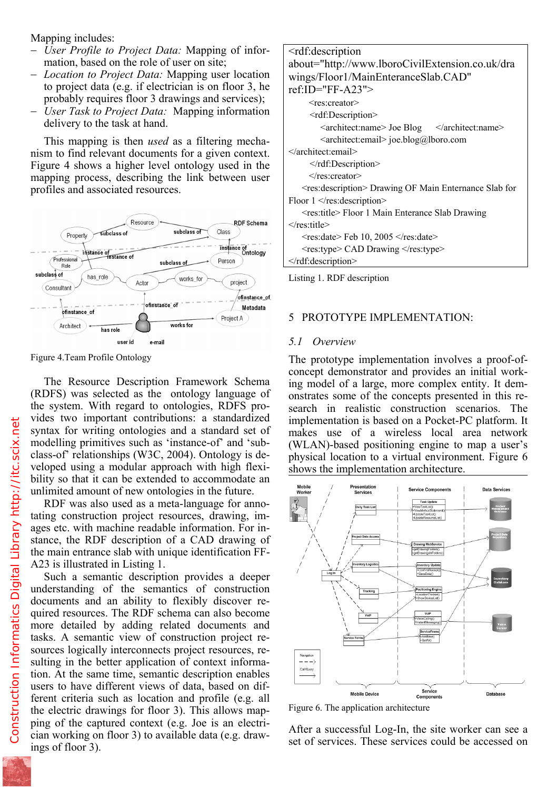- − *User Profile to Project Data:* Mapping of information, based on the role of user on site;
- − *Location to Project Data:* Mapping user location to project data (e.g. if electrician is on floor 3, he probably requires floor 3 drawings and services);
- − *User Task to Project Data:*Mapping information delivery to the task at hand.

This mapping is then *used* as a filtering mechanism to find relevant documents for a given context. Figure 4 shows a higher level ontology used in the mapping process, describing the link between user profiles and associated resources.



Figure 4.Team Profile Ontology

The Resource Description Framework Schema (RDFS) was selected as the ontology language of the system. With regard to ontologies, RDFS provides two important contributions: a standardized syntax for writing ontologies and a standard set of modelling primitives such as 'instance-of' and 'subclass-of' relationships (W3C, 2004). Ontology is developed using a modular approach with high flexibility so that it can be extended to accommodate an unlimited amount of new ontologies in the future.

RDF was also used as a meta-language for annotating construction project resources, drawing, images etc. with machine readable information. For instance, the RDF description of a CAD drawing of the main entrance slab with unique identification FF-A23 is illustrated in Listing 1.

Such a semantic description provides a deeper understanding of the semantics of construction documents and an ability to flexibly discover required resources. The RDF schema can also become more detailed by adding related documents and tasks. A semantic view of construction project resources logically interconnects project resources, resulting in the better application of context information. At the same time, semantic description enables users to have different views of data, based on different criteria such as location and profile (e.g. all the electric drawings for floor 3). This allows mapping of the captured context (e.g. Joe is an electrician working on floor 3) to available data (e.g. drawings of floor 3).

| <rdf:description< th=""></rdf:description<>                            |  |  |
|------------------------------------------------------------------------|--|--|
| about="http://www.lboroCivilExtension.co.uk/dra                        |  |  |
| wings/Floor1/MainEnteranceSlab.CAD"                                    |  |  |
| $ref$ :ID="FF-A23">                                                    |  |  |
| <res:creator></res:creator>                                            |  |  |
| <rdf:description< td=""></rdf:description<>                            |  |  |
| <architect:name> Joe Blog </architect:name>                            |  |  |
| <architect:email> joe.blog@lboro.com</architect:email>                 |  |  |
|                                                                        |  |  |
| $\leq$ rdf: Description >                                              |  |  |
| $\le$ /res:creator>                                                    |  |  |
| <res: description=""> Drawing OF Main Enternance Slab for</res:>       |  |  |
| Floor $1 \le$ /res:description>                                        |  |  |
| <res:title> Floor 1 Main Enterance Slab Drawing</res:title>            |  |  |
|                                                                        |  |  |
| $\epsilon$ = res:date> Feb 10, 2005 $\epsilon$ /res:date>              |  |  |
| $\langle$ res:type $\rangle$ CAD Drawing $\langle$ /res:type $\rangle$ |  |  |
|                                                                        |  |  |
|                                                                        |  |  |

Listing 1. RDF description

### 5 PROTOTYPE IMPLEMENTATION:

#### *5.1 Overview*

The prototype implementation involves a proof-ofconcept demonstrator and provides an initial working model of a large, more complex entity. It demonstrates some of the concepts presented in this research in realistic construction scenarios. The implementation is based on a Pocket-PC platform. It makes use of a wireless local area network (WLAN)-based positioning engine to map a user's physical location to a virtual environment. Figure 6 shows the implementation architecture.



Figure 6. The application architecture

After a successful Log-In, the site worker can see a set of services. These services could be accessed on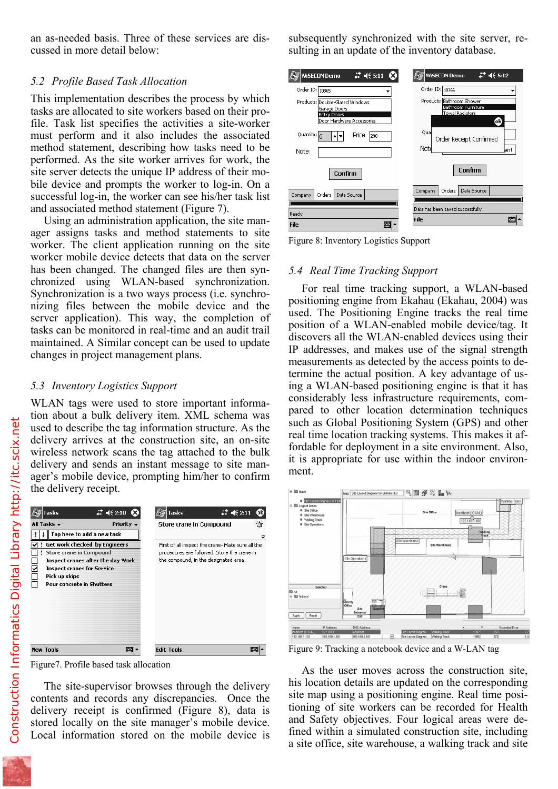cussed in more detail below:

## *5.2 Profile Based Task Allocation*

This implementation describes the process by which tasks are allocated to site workers based on their profile. Task list specifies the activities a site-worker must perform and it also includes the associated method statement, describing how tasks need to be performed. As the site worker arrives for work, the site server detects the unique IP address of their mobile device and prompts the worker to log-in. On a successful log-in, the worker can see his/her task list and associated method statement (Figure 7).

Using an administration application, the site manager assigns tasks and method statements to site worker. The client application running on the site worker mobile device detects that data on the server has been changed. The changed files are then synchronized using WLAN-based synchronization. Synchronization is a two ways process (i.e. synchronizing files between the mobile device and the server application). This way, the completion of tasks can be monitored in real-time and an audit trail maintained. A Similar concept can be used to update changes in project management plans.

## *5.3 Inventory Logistics Support*

WLAN tags were used to store important information about a bulk delivery item. XML schema was used to describe the tag information structure. As the delivery arrives at the construction site, an on-site wireless network scans the tag attached to the bulk delivery and sends an instant message to site manager's mobile device, prompting him/her to confirm the delivery receipt.



Figure7. Profile based task allocation

The site-supervisor browses through the delivery contents and records any discrepancies. Once the delivery receipt is confirmed (Figure 8), data is stored locally on the site manager's mobile device. Local information stored on the mobile device is

sulting in an update of the inventory database.

| # 4€ 5:11                       | $22 + 5:12$                      |
|---------------------------------|----------------------------------|
| <b>WISECON Demo</b>             | <b>WISECON Demo</b>              |
| Order ID: 10365                 | Order ID: 10366                  |
| Products: Double-Glazed Windows | Products: Bathroom Shower        |
| Garage Doors                    | Bathroom Furniture               |
| Entry Doors                     | <b>Towel Radiators</b>           |
| Door Hardware Accessories       | 0k                               |
| Quantity:                       | Quar                             |
| Price                           | Order Receipt Confirmed          |
| 290                             | Note                             |
| Note:                           | bnt                              |
| Confirm                         | Confirm                          |
| Data Source                     | Data Source                      |
| Company                         | Company                          |
| Orders                          | Orders                           |
| Ready                           | Data has been saved successfully |
| 圏                               | ⊞⊞  ▲                            |
| File                            | File                             |

Figure 8: Inventory Logistics Support

#### *5.4 Real Time Tracking Support*

For real time tracking support, a WLAN-based positioning engine from Ekahau (Ekahau, 2004) was used. The Positioning Engine tracks the real time position of a WLAN-enabled mobile device/tag. It discovers all the WLAN-enabled devices using their IP addresses, and makes use of the signal strength measurements as detected by the access points to determine the actual position. A key advantage of using a WLAN-based positioning engine is that it has considerably less infrastructure requirements, compared to other location determination techniques such as Global Positioning System (GPS) and other real time location tracking systems. This makes it affordable for deployment in a site environment. Also, it is appropriate for use within the indoor environment.



Figure 9: Tracking a notebook device and a W-LAN tag

As the user moves across the construction site, his location details are updated on the corresponding site map using a positioning engine. Real time positioning of site workers can be recorded for Health and Safety objectives. Four logical areas were defined within a simulated construction site, including a site office, site warehouse, a walking track and site

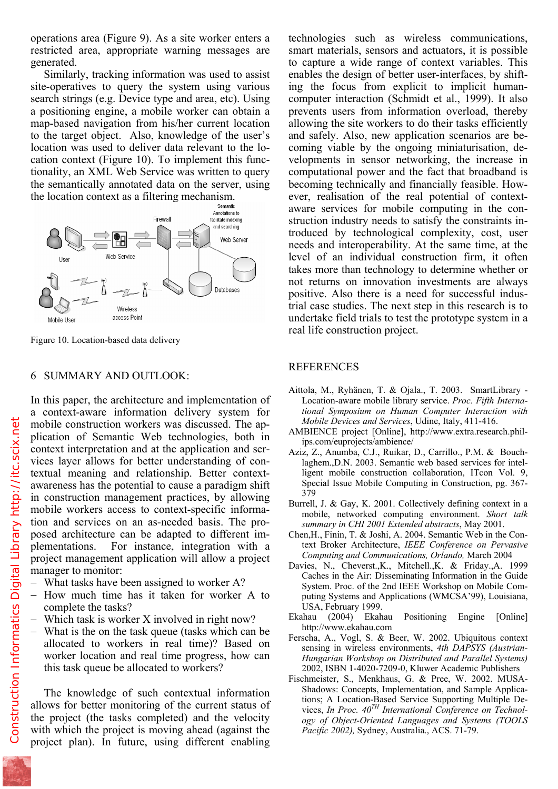restricted area, appropriate warning messages are generated.

Similarly, tracking information was used to assist site-operatives to query the system using various search strings (e.g. Device type and area, etc). Using a positioning engine, a mobile worker can obtain a map-based navigation from his/her current location to the target object. Also, knowledge of the user's location was used to deliver data relevant to the location context (Figure 10). To implement this functionality, an XML Web Service was written to query the semantically annotated data on the server, using the location context as a filtering mechanism.



Figure 10. Location-based data delivery

#### 6 SUMMARY AND OUTLOOK:

In this paper, the architecture and implementation of a context-aware information delivery system for mobile construction workers was discussed. The application of Semantic Web technologies, both in context interpretation and at the application and services layer allows for better understanding of contextual meaning and relationship. Better contextawareness has the potential to cause a paradigm shift in construction management practices, by allowing mobile workers access to context-specific information and services on an as-needed basis. The proposed architecture can be adapted to different implementations. For instance, integration with a project management application will allow a project manager to monitor:

- − What tasks have been assigned to worker A?
- − How much time has it taken for worker A to complete the tasks?
- Which task is worker X involved in right now?
- − What is the on the task queue (tasks which can be allocated to workers in real time)? Based on worker location and real time progress, how can this task queue be allocated to workers?

The knowledge of such contextual information allows for better monitoring of the current status of the project (the tasks completed) and the velocity with which the project is moving ahead (against the project plan). In future, using different enabling

smart materials, sensors and actuators, it is possible to capture a wide range of context variables. This enables the design of better user-interfaces, by shifting the focus from explicit to implicit humancomputer interaction (Schmidt et al., 1999). It also prevents users from information overload, thereby allowing the site workers to do their tasks efficiently and safely. Also, new application scenarios are becoming viable by the ongoing miniaturisation, developments in sensor networking, the increase in computational power and the fact that broadband is becoming technically and financially feasible. However, realisation of the real potential of contextaware services for mobile computing in the construction industry needs to satisfy the constraints introduced by technological complexity, cost, user needs and interoperability. At the same time, at the level of an individual construction firm, it often takes more than technology to determine whether or not returns on innovation investments are always positive. Also there is a need for successful industrial case studies. The next step in this research is to undertake field trials to test the prototype system in a real life construction project.

#### REFERENCES

- Aittola, M., Ryhänen, T. & Ojala., T. 2003. SmartLibrary Location-aware mobile library service. *Proc. Fifth International Symposium on Human Computer Interaction with Mobile Devices and Services*, Udine, Italy, 411-416.
- AMBIENCE project [Online], http://www.extra.research.philips.com/euprojects/ambience/
- Aziz, Z., Anumba, C.J., Ruikar, D., Carrillo., P.M. & Bouchlaghem.,D.N. 2003. Semantic web based services for intelligent mobile construction collaboration, ITcon Vol. 9, Special Issue Mobile Computing in Construction, pg. 367- 379
- Burrell, J. & Gay, K. 2001. Collectively defining context in a mobile, networked computing environment. *Short talk summary in CHI 2001 Extended abstracts*, May 2001.
- Chen,H., Finin, T. & Joshi, A. 2004. Semantic Web in the Context Broker Architecture, *IEEE Conference on Pervasive Computing and Communications, Orlando,* March 2004
- Davies, N., Cheverst.,K., Mitchell.,K. & Friday.,A. 1999 Caches in the Air: Disseminating Information in the Guide System. Proc. of the 2nd IEEE Workshop on Mobile Computing Systems and Applications (WMCSA'99), Louisiana, USA, February 1999.
- Ekahau (2004) Ekahau Positioning Engine [Online] http://www.ekahau.com
- Ferscha, A., Vogl, S. & Beer, W. 2002. Ubiquitous context sensing in wireless environments, *4th DAPSYS (Austrian-Hungarian Workshop on Distributed and Parallel Systems)* 2002, ISBN 1-4020-7209-0, Kluwer Academic Publishers
- Fischmeister, S., Menkhaus, G. & Pree, W. 2002. MUSA-Shadows: Concepts, Implementation, and Sample Applications; A Location-Based Service Supporting Multiple Devices, *In Proc. 40TH International Conference on Technology of Object-Oriented Languages and Systems (TOOLS Pacific 2002),* Sydney, Australia., ACS. 71-79.